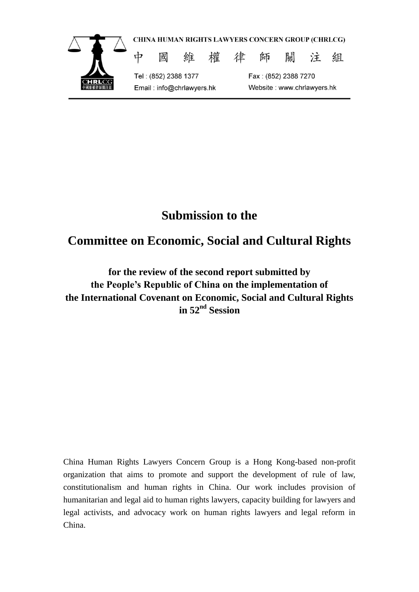

# **Submission to the**

# **Committee on Economic, Social and Cultural Rights**

**for the review of the second report submitted by the People's Republic of China on the implementation of the International Covenant on Economic, Social and Cultural Rights in 52nd Session**

China Human Rights Lawyers Concern Group is a Hong Kong-based non-profit organization that aims to promote and support the development of rule of law, constitutionalism and human rights in China. Our work includes provision of humanitarian and legal aid to human rights lawyers, capacity building for lawyers and legal activists, and advocacy work on human rights lawyers and legal reform in China.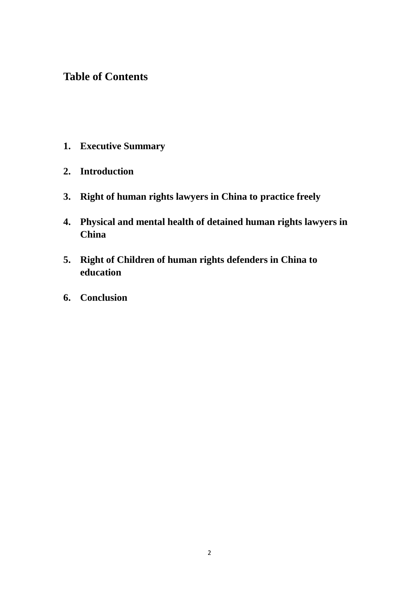# **Table of Contents**

- **1. Executive Summary**
- **2. Introduction**
- **3. Right of human rights lawyers in China to practice freely**
- **4. Physical and mental health of detained human rights lawyers in China**
- **5. Right of Children of human rights defenders in China to education**
- **6. Conclusion**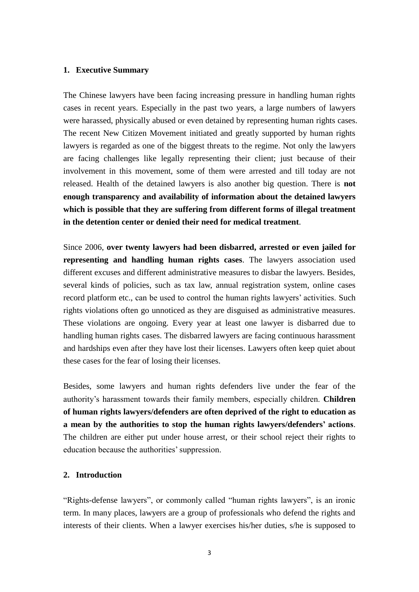#### **1. Executive Summary**

The Chinese lawyers have been facing increasing pressure in handling human rights cases in recent years. Especially in the past two years, a large numbers of lawyers were harassed, physically abused or even detained by representing human rights cases. The recent New Citizen Movement initiated and greatly supported by human rights lawyers is regarded as one of the biggest threats to the regime. Not only the lawyers are facing challenges like legally representing their client; just because of their involvement in this movement, some of them were arrested and till today are not released. Health of the detained lawyers is also another big question. There is **not enough transparency and availability of information about the detained lawyers which is possible that they are suffering from different forms of illegal treatment in the detention center or denied their need for medical treatment**.

Since 2006, **over twenty lawyers had been disbarred, arrested or even jailed for representing and handling human rights cases**. The lawyers association used different excuses and different administrative measures to disbar the lawyers. Besides, several kinds of policies, such as tax law, annual registration system, online cases record platform etc., can be used to control the human rights lawyers' activities. Such rights violations often go unnoticed as they are disguised as administrative measures. These violations are ongoing. Every year at least one lawyer is disbarred due to handling human rights cases. The disbarred lawyers are facing continuous harassment and hardships even after they have lost their licenses. Lawyers often keep quiet about these cases for the fear of losing their licenses.

Besides, some lawyers and human rights defenders live under the fear of the authority's harassment towards their family members, especially children. **Children of human rights lawyers/defenders are often deprived of the right to education as a mean by the authorities to stop the human rights lawyers/defenders' actions**. The children are either put under house arrest, or their school reject their rights to education because the authorities' suppression.

### **2. Introduction**

"Rights-defense lawyers", or commonly called "human rights lawyers", is an ironic term. In many places, lawyers are a group of professionals who defend the rights and interests of their clients. When a lawyer exercises his/her duties, s/he is supposed to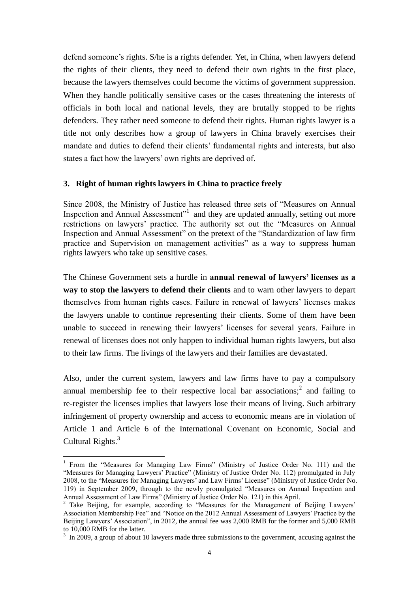defend someone's rights. S/he is a rights defender. Yet, in China, when lawyers defend the rights of their clients, they need to defend their own rights in the first place, because the lawyers themselves could become the victims of government suppression. When they handle politically sensitive cases or the cases threatening the interests of officials in both local and national levels, they are brutally stopped to be rights defenders. They rather need someone to defend their rights. Human rights lawyer is a title not only describes how a group of lawyers in China bravely exercises their mandate and duties to defend their clients' fundamental rights and interests, but also states a fact how the lawyers' own rights are deprived of.

#### **3. Right of human rights lawyers in China to practice freely**

Since 2008, the Ministry of Justice has released three sets of "Measures on Annual Inspection and Annual Assessment"<sup>1</sup> and they are updated annually, setting out more restrictions on lawyers' practice. The authority set out the "Measures on Annual Inspection and Annual Assessment" on the pretext of the "Standardization of law firm practice and Supervision on management activities" as a way to suppress human rights lawyers who take up sensitive cases.

The Chinese Government sets a hurdle in **annual renewal of lawyers' licenses as a way to stop the lawyers to defend their clients** and to warn other lawyers to depart themselves from human rights cases. Failure in renewal of lawyers' licenses makes the lawyers unable to continue representing their clients. Some of them have been unable to succeed in renewing their lawyers' licenses for several years. Failure in renewal of licenses does not only happen to individual human rights lawyers, but also to their law firms. The livings of the lawyers and their families are devastated.

Also, under the current system, lawyers and law firms have to pay a compulsory annual membership fee to their respective local bar associations;<sup>2</sup> and failing to re-register the licenses implies that lawyers lose their means of living. Such arbitrary infringement of property ownership and access to economic means are in violation of Article 1 and Article 6 of the International Covenant on Economic, Social and Cultural Rights.<sup>3</sup>

-

<sup>&</sup>lt;sup>1</sup> From the "Measures for Managing Law Firms" (Ministry of Justice Order No. 111) and the "Measures for Managing Lawyers' Practice" (Ministry of Justice Order No. 112) promulgated in July 2008, to the "Measures for Managing Lawyers' and Law Firms' License" (Ministry of Justice Order No. 119) in September 2009, through to the newly promulgated "Measures on Annual Inspection and Annual Assessment of Law Firms" (Ministry of Justice Order No. 121) in this April.

<sup>&</sup>lt;sup>2</sup> Take Beijing, for example, according to "Measures for the Management of Beijing Lawyers' Association Membership Fee" and "Notice on the 2012 Annual Assessment of Lawyers' Practice by the Beijing Lawyers' Association", in 2012, the annual fee was 2,000 RMB for the former and 5,000 RMB to 10,000 RMB for the latter.

 $3 \text{ In } 2009$ , a group of about 10 lawyers made three submissions to the government, accusing against the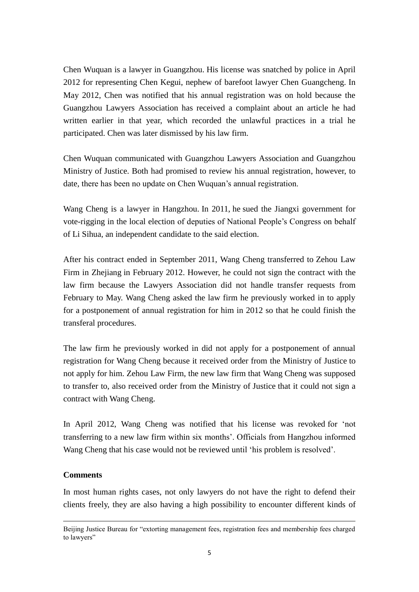Chen Wuquan is a lawyer in Guangzhou. His license was snatched by police in April 2012 for representing Chen Kegui, nephew of barefoot lawyer Chen Guangcheng. In May 2012, Chen was notified that his annual registration was on hold because the Guangzhou Lawyers Association has received a complaint about an article he had written earlier in that year, which recorded the unlawful practices in a trial he participated. Chen was later dismissed by his law firm.

Chen Wuquan communicated with Guangzhou Lawyers Association and Guangzhou Ministry of Justice. Both had promised to review his annual registration, however, to date, there has been no update on Chen Wuquan's annual registration.

Wang Cheng is a lawyer in Hangzhou. In 2011, he sued the Jiangxi government for vote-rigging in the local election of deputies of National People's Congress on behalf of Li Sihua, an independent candidate to the said election.

After his contract ended in September 2011, Wang Cheng transferred to Zehou Law Firm in Zhejiang in February 2012. However, he could not sign the contract with the law firm because the Lawyers Association did not handle transfer requests from February to May. Wang Cheng asked the law firm he previously worked in to apply for a postponement of annual registration for him in 2012 so that he could finish the transferal procedures.

The law firm he previously worked in did not apply for a postponement of annual registration for Wang Cheng because it received order from the Ministry of Justice to not apply for him. Zehou Law Firm, the new law firm that Wang Cheng was supposed to transfer to, also received order from the Ministry of Justice that it could not sign a contract with Wang Cheng.

In April 2012, Wang Cheng was notified that his license was revoked for 'not transferring to a new law firm within six months'. Officials from Hangzhou informed Wang Cheng that his case would not be reviewed until 'his problem is resolved'.

### **Comments**

-

In most human rights cases, not only lawyers do not have the right to defend their clients freely, they are also having a high possibility to encounter different kinds of

Beijing Justice Bureau for "extorting management fees, registration fees and membership fees charged to lawyers"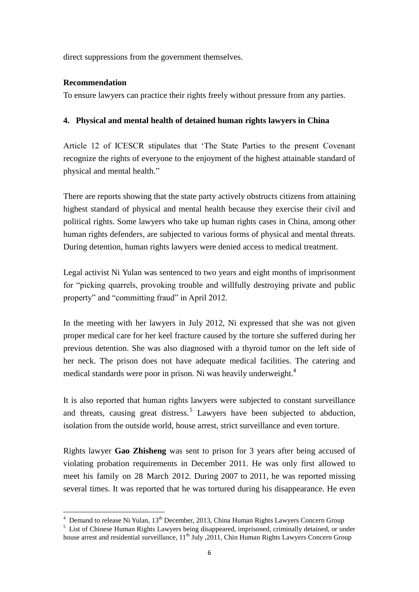direct suppressions from the government themselves.

# **Recommendation**

-

To ensure lawyers can practice their rights freely without pressure from any parties.

# **4. Physical and mental health of detained human rights lawyers in China**

Article 12 of ICESCR stipulates that 'The State Parties to the present Covenant recognize the rights of everyone to the enjoyment of the highest attainable standard of physical and mental health."

There are reports showing that the state party actively obstructs citizens from attaining highest standard of physical and mental health because they exercise their civil and political rights. Some lawyers who take up human rights cases in China, among other human rights defenders, are subjected to various forms of physical and mental threats. During detention, human rights lawyers were denied access to medical treatment.

Legal activist Ni Yulan was sentenced to two years and eight months of imprisonment for "picking quarrels, provoking trouble and willfully destroying private and public property" and "committing fraud" in April 2012.

In the meeting with her lawyers in July 2012, Ni expressed that she was not given proper medical care for her keel fracture caused by the torture she suffered during her previous detention. She was also diagnosed with a thyroid tumor on the left side of her neck. The prison does not have adequate medical facilities. The catering and medical standards were poor in prison. Ni was heavily underweight.<sup>4</sup>

It is also reported that human rights lawyers were subjected to constant surveillance and threats, causing great distress.<sup>5</sup> Lawyers have been subjected to abduction, isolation from the outside world, house arrest, strict surveillance and even torture.

Rights lawyer **Gao Zhisheng** was sent to prison for 3 years after being accused of violating probation requirements in December 2011. He was only first allowed to meet his family on 28 March 2012. During 2007 to 2011, he was reported missing several times. It was reported that he was tortured during his disappearance. He even

 $4$  Demand to release Ni Yulan,  $13<sup>th</sup>$  December, 2013, China Human Rights Lawyers Concern Group

<sup>&</sup>lt;sup>5</sup> List of Chinese Human Rights Lawyers being disappeared, imprisoned, criminally detained, or under house arrest and residential surveillance, 11<sup>th</sup> July ,2011, Chin Human Rights Lawyers Concern Group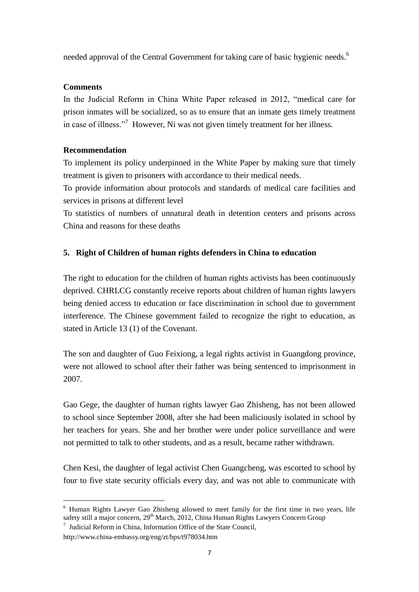needed approval of the Central Government for taking care of basic hygienic needs.<sup>6</sup>

# **Comments**

In the Judicial Reform in China White Paper released in 2012, "medical care for prison inmates will be socialized, so as to ensure that an inmate gets timely treatment in case of illness."<sup>7</sup> However, Ni was not given timely treatment for her illness.

# **Recommendation**

To implement its policy underpinned in the White Paper by making sure that timely treatment is given to prisoners with accordance to their medical needs.

To provide information about protocols and standards of medical care facilities and services in prisons at different level

To statistics of numbers of unnatural death in detention centers and prisons across China and reasons for these deaths

# **5. Right of Children of human rights defenders in China to education**

The right to education for the children of human rights activists has been continuously deprived. CHRLCG constantly receive reports about children of human rights lawyers being denied access to education or face discrimination in school due to government interference. The Chinese government failed to recognize the right to education, as stated in Article 13 (1) of the Covenant.

The son and daughter of Guo Feixiong, a legal rights activist in Guangdong province, were not allowed to school after their father was being sentenced to imprisonment in 2007.

Gao Gege, the daughter of human rights lawyer Gao Zhisheng, has not been allowed to school since September 2008, after she had been maliciously isolated in school by her teachers for years. She and her brother were under police surveillance and were not permitted to talk to other students, and as a result, became rather withdrawn.

Chen Kesi, the daughter of legal activist Chen Guangcheng, was escorted to school by four to five state security officials every day, and was not able to communicate with

-

<sup>6</sup> Human Rights Lawyer Gao Zhisheng allowed to meet family for the first time in two years, life safety still a major concern, 29<sup>th</sup> March, 2012, China Human Rights Lawyers Concern Group

<sup>7</sup> Judicial Reform in China, Information Office of the State Council,

http://www.china-embassy.org/eng/zt/bps/t978034.htm